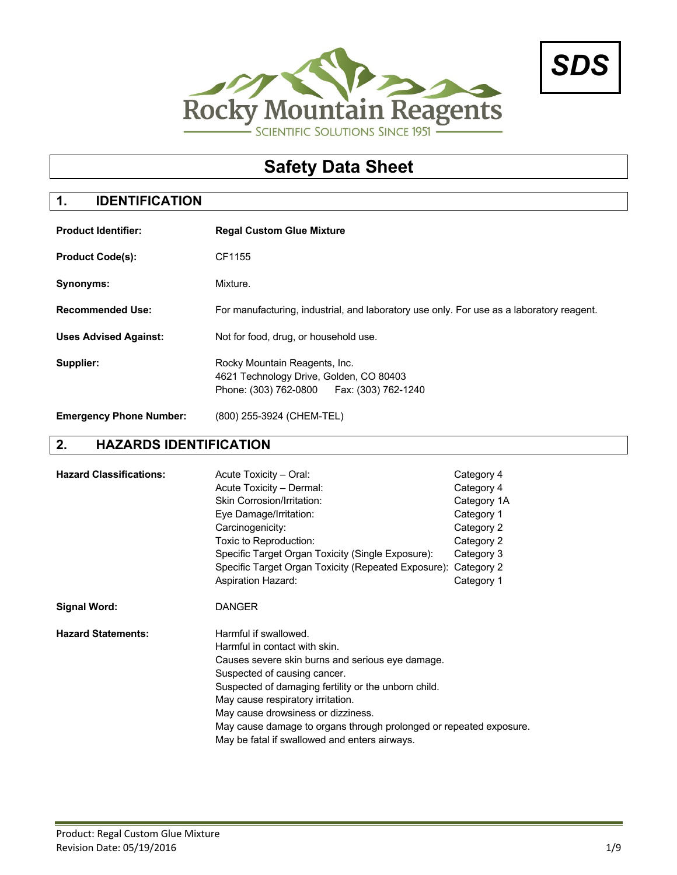



# **Safety Data Sheet**

## **1. IDENTIFICATION**

| <b>Product Identifier:</b>     | <b>Regal Custom Glue Mixture</b>                                                                                        |  |  |  |
|--------------------------------|-------------------------------------------------------------------------------------------------------------------------|--|--|--|
| <b>Product Code(s):</b>        | CF1155                                                                                                                  |  |  |  |
| Synonyms:                      | Mixture.                                                                                                                |  |  |  |
| <b>Recommended Use:</b>        | For manufacturing, industrial, and laboratory use only. For use as a laboratory reagent.                                |  |  |  |
| <b>Uses Advised Against:</b>   | Not for food, drug, or household use.                                                                                   |  |  |  |
| Supplier:                      | Rocky Mountain Reagents, Inc.<br>4621 Technology Drive, Golden, CO 80403<br>Phone: (303) 762-0800   Fax: (303) 762-1240 |  |  |  |
| <b>Emergency Phone Number:</b> | (800) 255-3924 (CHEM-TEL)                                                                                               |  |  |  |

## **2. HAZARDS IDENTIFICATION**

| <b>Hazard Classifications:</b> | Acute Toxicity - Oral:<br>Acute Toxicity - Dermal:<br>Skin Corrosion/Irritation:<br>Eye Damage/Irritation:<br>Carcinogenicity:<br>Toxic to Reproduction:<br>Specific Target Organ Toxicity (Single Exposure):<br>Specific Target Organ Toxicity (Repeated Exposure): Category 2<br><b>Aspiration Hazard:</b>                                                                                         | Category 4<br>Category 4<br>Category 1A<br>Category 1<br>Category 2<br>Category 2<br>Category 3<br>Category 1 |
|--------------------------------|------------------------------------------------------------------------------------------------------------------------------------------------------------------------------------------------------------------------------------------------------------------------------------------------------------------------------------------------------------------------------------------------------|---------------------------------------------------------------------------------------------------------------|
| <b>Signal Word:</b>            | <b>DANGER</b>                                                                                                                                                                                                                                                                                                                                                                                        |                                                                                                               |
| <b>Hazard Statements:</b>      | Harmful if swallowed.<br>Harmful in contact with skin.<br>Causes severe skin burns and serious eye damage.<br>Suspected of causing cancer.<br>Suspected of damaging fertility or the unborn child.<br>May cause respiratory irritation.<br>May cause drowsiness or dizziness.<br>May cause damage to organs through prolonged or repeated exposure.<br>May be fatal if swallowed and enters airways. |                                                                                                               |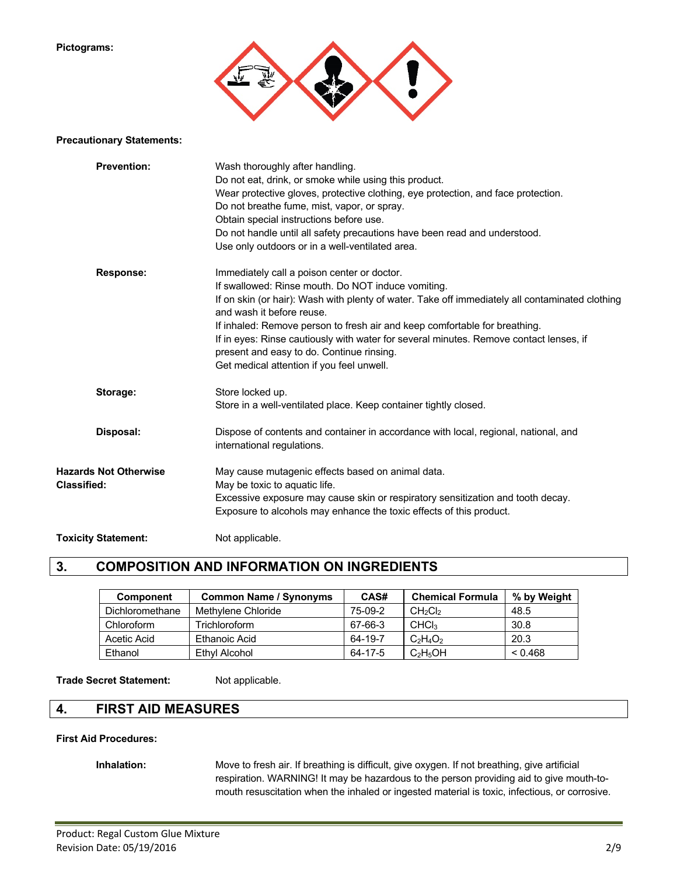#### **Pictograms:**



#### **Precautionary Statements:**

| <b>Prevention:</b>           | Wash thoroughly after handling.                                                                                              |
|------------------------------|------------------------------------------------------------------------------------------------------------------------------|
|                              | Do not eat, drink, or smoke while using this product.                                                                        |
|                              | Wear protective gloves, protective clothing, eye protection, and face protection.                                            |
|                              | Do not breathe fume, mist, vapor, or spray.                                                                                  |
|                              | Obtain special instructions before use.                                                                                      |
|                              | Do not handle until all safety precautions have been read and understood.                                                    |
|                              | Use only outdoors or in a well-ventilated area.                                                                              |
| <b>Response:</b>             | Immediately call a poison center or doctor.                                                                                  |
|                              | If swallowed: Rinse mouth. Do NOT induce vomiting.                                                                           |
|                              | If on skin (or hair): Wash with plenty of water. Take off immediately all contaminated clothing<br>and wash it before reuse. |
|                              | If inhaled: Remove person to fresh air and keep comfortable for breathing.                                                   |
|                              | If in eyes: Rinse cautiously with water for several minutes. Remove contact lenses, if                                       |
|                              | present and easy to do. Continue rinsing.                                                                                    |
|                              | Get medical attention if you feel unwell.                                                                                    |
| Storage:                     | Store locked up.                                                                                                             |
|                              | Store in a well-ventilated place. Keep container tightly closed.                                                             |
| Disposal:                    | Dispose of contents and container in accordance with local, regional, national, and                                          |
|                              | international regulations.                                                                                                   |
| <b>Hazards Not Otherwise</b> | May cause mutagenic effects based on animal data.                                                                            |
| <b>Classified:</b>           | May be toxic to aquatic life.                                                                                                |
|                              | Excessive exposure may cause skin or respiratory sensitization and tooth decay.                                              |
|                              | Exposure to alcohols may enhance the toxic effects of this product.                                                          |
| <b>Toxicity Statement:</b>   | Not applicable.                                                                                                              |

## **3. COMPOSITION AND INFORMATION ON INGREDIENTS**

| <b>Component</b> | <b>Common Name / Synonyms</b> | CAS#    | <b>Chemical Formula</b>         | % by Weight |
|------------------|-------------------------------|---------|---------------------------------|-------------|
| Dichloromethane  | Methylene Chloride            | 75-09-2 | CH <sub>2</sub> Cl <sub>2</sub> | 48.5        |
| Chloroform       | Trichloroform                 | 67-66-3 | CHC <sub>3</sub>                | 30.8        |
| Acetic Acid      | Ethanoic Acid                 | 64-19-7 | $C_2H_4O_2$                     | 20.3        |
| Ethanol          | Ethyl Alcohol                 | 64-17-5 | $C_2H_5OH$                      | < 0.468     |

#### Trade Secret Statement: Not applicable.

### **4. FIRST AID MEASURES**

#### **First Aid Procedures:**

**Inhalation:** Move to fresh air. If breathing is difficult, give oxygen. If not breathing, give artificial respiration. WARNING! It may be hazardous to the person providing aid to give mouth-tomouth resuscitation when the inhaled or ingested material is toxic, infectious, or corrosive.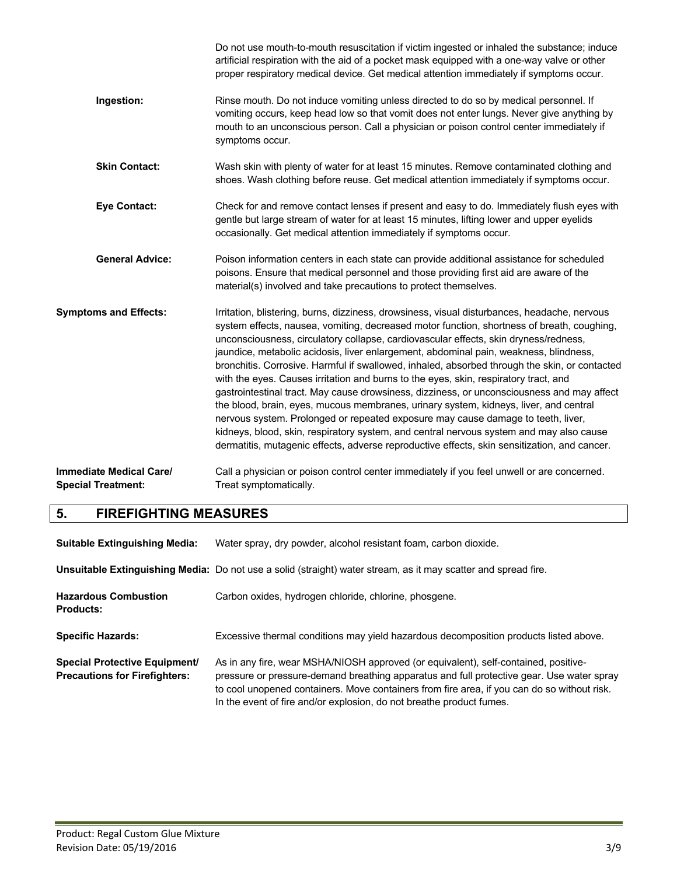|                                                             | Do not use mouth-to-mouth resuscitation if victim ingested or inhaled the substance; induce<br>artificial respiration with the aid of a pocket mask equipped with a one-way valve or other<br>proper respiratory medical device. Get medical attention immediately if symptoms occur.                                                                                                                                                                                                                                                                                                                                                                                                                                                                                                                                                                                                                                                                                                                                                      |
|-------------------------------------------------------------|--------------------------------------------------------------------------------------------------------------------------------------------------------------------------------------------------------------------------------------------------------------------------------------------------------------------------------------------------------------------------------------------------------------------------------------------------------------------------------------------------------------------------------------------------------------------------------------------------------------------------------------------------------------------------------------------------------------------------------------------------------------------------------------------------------------------------------------------------------------------------------------------------------------------------------------------------------------------------------------------------------------------------------------------|
| Ingestion:                                                  | Rinse mouth. Do not induce vomiting unless directed to do so by medical personnel. If<br>vomiting occurs, keep head low so that vomit does not enter lungs. Never give anything by<br>mouth to an unconscious person. Call a physician or poison control center immediately if<br>symptoms occur.                                                                                                                                                                                                                                                                                                                                                                                                                                                                                                                                                                                                                                                                                                                                          |
| <b>Skin Contact:</b>                                        | Wash skin with plenty of water for at least 15 minutes. Remove contaminated clothing and<br>shoes. Wash clothing before reuse. Get medical attention immediately if symptoms occur.                                                                                                                                                                                                                                                                                                                                                                                                                                                                                                                                                                                                                                                                                                                                                                                                                                                        |
| <b>Eye Contact:</b>                                         | Check for and remove contact lenses if present and easy to do. Immediately flush eyes with<br>gentle but large stream of water for at least 15 minutes, lifting lower and upper eyelids<br>occasionally. Get medical attention immediately if symptoms occur.                                                                                                                                                                                                                                                                                                                                                                                                                                                                                                                                                                                                                                                                                                                                                                              |
| <b>General Advice:</b>                                      | Poison information centers in each state can provide additional assistance for scheduled<br>poisons. Ensure that medical personnel and those providing first aid are aware of the<br>material(s) involved and take precautions to protect themselves.                                                                                                                                                                                                                                                                                                                                                                                                                                                                                                                                                                                                                                                                                                                                                                                      |
| <b>Symptoms and Effects:</b>                                | Irritation, blistering, burns, dizziness, drowsiness, visual disturbances, headache, nervous<br>system effects, nausea, vomiting, decreased motor function, shortness of breath, coughing,<br>unconsciousness, circulatory collapse, cardiovascular effects, skin dryness/redness,<br>jaundice, metabolic acidosis, liver enlargement, abdominal pain, weakness, blindness,<br>bronchitis. Corrosive. Harmful if swallowed, inhaled, absorbed through the skin, or contacted<br>with the eyes. Causes irritation and burns to the eyes, skin, respiratory tract, and<br>gastrointestinal tract. May cause drowsiness, dizziness, or unconsciousness and may affect<br>the blood, brain, eyes, mucous membranes, urinary system, kidneys, liver, and central<br>nervous system. Prolonged or repeated exposure may cause damage to teeth, liver,<br>kidneys, blood, skin, respiratory system, and central nervous system and may also cause<br>dermatitis, mutagenic effects, adverse reproductive effects, skin sensitization, and cancer. |
| <b>Immediate Medical Care/</b><br><b>Special Treatment:</b> | Call a physician or poison control center immediately if you feel unwell or are concerned.<br>Treat symptomatically.                                                                                                                                                                                                                                                                                                                                                                                                                                                                                                                                                                                                                                                                                                                                                                                                                                                                                                                       |

# **5. FIREFIGHTING MEASURES**

| <b>Suitable Extinguishing Media:</b>                                         | Water spray, dry powder, alcohol resistant foam, carbon dioxide.                                                                                                                                                                                                                                                                                        |  |  |
|------------------------------------------------------------------------------|---------------------------------------------------------------------------------------------------------------------------------------------------------------------------------------------------------------------------------------------------------------------------------------------------------------------------------------------------------|--|--|
|                                                                              | Unsuitable Extinguishing Media: Do not use a solid (straight) water stream, as it may scatter and spread fire.                                                                                                                                                                                                                                          |  |  |
| <b>Hazardous Combustion</b><br><b>Products:</b>                              | Carbon oxides, hydrogen chloride, chlorine, phosgene.                                                                                                                                                                                                                                                                                                   |  |  |
| <b>Specific Hazards:</b>                                                     | Excessive thermal conditions may yield hazardous decomposition products listed above.                                                                                                                                                                                                                                                                   |  |  |
| <b>Special Protective Equipment/</b><br><b>Precautions for Firefighters:</b> | As in any fire, wear MSHA/NIOSH approved (or equivalent), self-contained, positive-<br>pressure or pressure-demand breathing apparatus and full protective gear. Use water spray<br>to cool unopened containers. Move containers from fire area, if you can do so without risk.<br>In the event of fire and/or explosion, do not breathe product fumes. |  |  |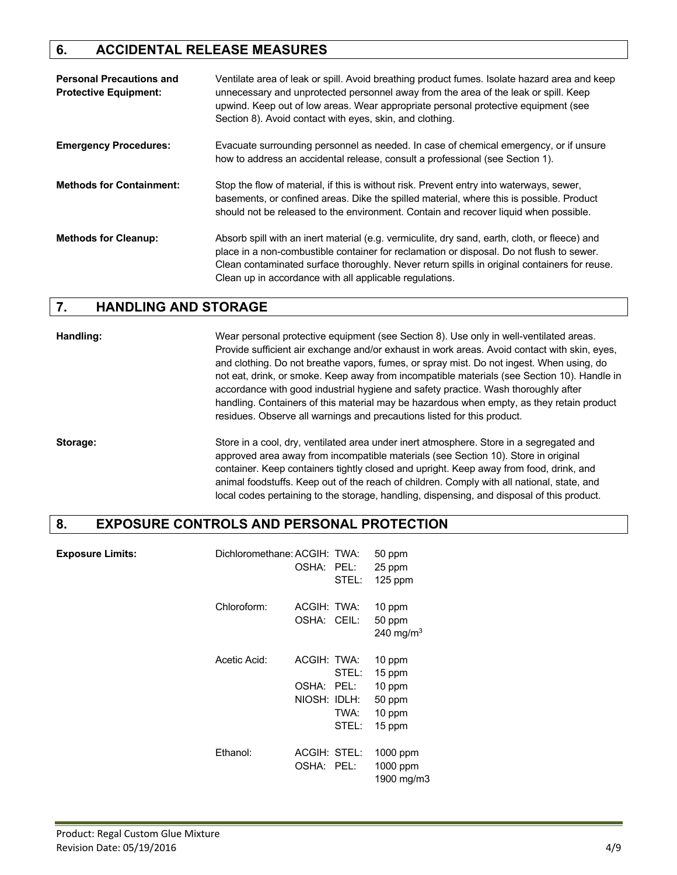## **6. ACCIDENTAL RELEASE MEASURES**

| <b>Personal Precautions and</b><br><b>Protective Equipment:</b> | Ventilate area of leak or spill. Avoid breathing product fumes. Isolate hazard area and keep<br>unnecessary and unprotected personnel away from the area of the leak or spill. Keep<br>upwind. Keep out of low areas. Wear appropriate personal protective equipment (see<br>Section 8). Avoid contact with eyes, skin, and clothing.                |
|-----------------------------------------------------------------|------------------------------------------------------------------------------------------------------------------------------------------------------------------------------------------------------------------------------------------------------------------------------------------------------------------------------------------------------|
| <b>Emergency Procedures:</b>                                    | Evacuate surrounding personnel as needed. In case of chemical emergency, or if unsure<br>how to address an accidental release, consult a professional (see Section 1).                                                                                                                                                                               |
| <b>Methods for Containment:</b>                                 | Stop the flow of material, if this is without risk. Prevent entry into waterways, sewer,<br>basements, or confined areas. Dike the spilled material, where this is possible. Product<br>should not be released to the environment. Contain and recover liquid when possible.                                                                         |
| <b>Methods for Cleanup:</b>                                     | Absorb spill with an inert material (e.g. vermiculite, dry sand, earth, cloth, or fleece) and<br>place in a non-combustible container for reclamation or disposal. Do not flush to sewer.<br>Clean contaminated surface thoroughly. Never return spills in original containers for reuse.<br>Clean up in accordance with all applicable regulations. |

## **7. HANDLING AND STORAGE**

**Handling:** Wear personal protective equipment (see Section 8). Use only in well-ventilated areas. Provide sufficient air exchange and/or exhaust in work areas. Avoid contact with skin, eyes, and clothing. Do not breathe vapors, fumes, or spray mist. Do not ingest. When using, do not eat, drink, or smoke. Keep away from incompatible materials (see Section 10). Handle in accordance with good industrial hygiene and safety practice. Wash thoroughly after handling. Containers of this material may be hazardous when empty, as they retain product residues. Observe all warnings and precautions listed for this product.

**Storage:** Store in a cool, dry, ventilated area under inert atmosphere. Store in a segregated and approved area away from incompatible materials (see Section 10). Store in original container. Keep containers tightly closed and upright. Keep away from food, drink, and animal foodstuffs. Keep out of the reach of children. Comply with all national, state, and local codes pertaining to the storage, handling, dispensing, and disposal of this product.

## **8. EXPOSURE CONTROLS AND PERSONAL PROTECTION**

| <b>Exposure Limits:</b> | Dichloromethane: ACGIH: TWA: | OSHA: PEL:                           | STEL:                          | 50 ppm<br>25 ppm<br>$125$ ppm                            |
|-------------------------|------------------------------|--------------------------------------|--------------------------------|----------------------------------------------------------|
|                         | Chloroform:                  | ACGIH: TWA:<br>OSHA: CEIL:           |                                | 10 ppm<br>50 ppm<br>240 mg/m <sup>3</sup>                |
|                         | Acetic Acid:                 | ACGIH: TWA:<br>OSHA:<br>NIOSH: IDLH: | STEL:<br>PEL:<br>TWA:<br>STEL: | 10 ppm<br>15 ppm<br>10 ppm<br>50 ppm<br>10 ppm<br>15 ppm |
|                         | Ethanol:                     | ACGIH: STEL:<br>OSHA: PEL:           |                                | $1000$ ppm<br>1000 ppm<br>1900 mg/m3                     |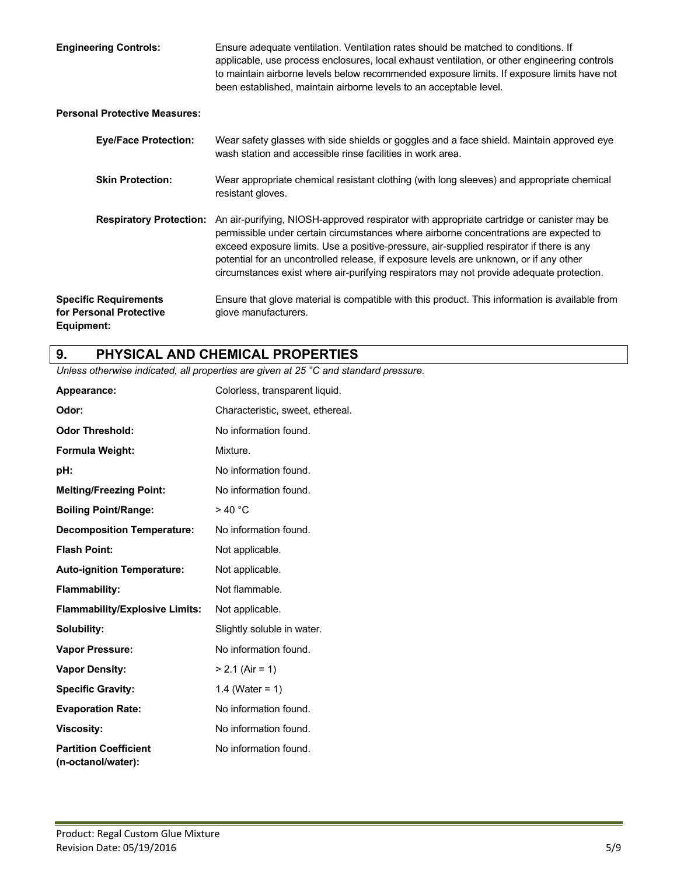**Engineering Controls:** Ensure adequate ventilation. Ventilation rates should be matched to conditions. If applicable, use process enclosures, local exhaust ventilation, or other engineering controls to maintain airborne levels below recommended exposure limits. If exposure limits have not been established, maintain airborne levels to an acceptable level.

#### **Personal Protective Measures:**

| <b>Eye/Face Protection:</b>                                           | Wear safety glasses with side shields or goggles and a face shield. Maintain approved eye<br>wash station and accessible rinse facilities in work area.                                                                                                                                                                                                                                                                                                              |  |
|-----------------------------------------------------------------------|----------------------------------------------------------------------------------------------------------------------------------------------------------------------------------------------------------------------------------------------------------------------------------------------------------------------------------------------------------------------------------------------------------------------------------------------------------------------|--|
| <b>Skin Protection:</b>                                               | Wear appropriate chemical resistant clothing (with long sleeves) and appropriate chemical<br>resistant gloves.                                                                                                                                                                                                                                                                                                                                                       |  |
| <b>Respiratory Protection:</b>                                        | An air-purifying, NIOSH-approved respirator with appropriate cartridge or canister may be<br>permissible under certain circumstances where airborne concentrations are expected to<br>exceed exposure limits. Use a positive-pressure, air-supplied respirator if there is any<br>potential for an uncontrolled release, if exposure levels are unknown, or if any other<br>circumstances exist where air-purifying respirators may not provide adequate protection. |  |
| <b>Specific Requirements</b><br>for Personal Protective<br>Equipment: | Ensure that glove material is compatible with this product. This information is available from<br>glove manufacturers.                                                                                                                                                                                                                                                                                                                                               |  |

## **9. PHYSICAL AND CHEMICAL PROPERTIES**

*Unless otherwise indicated, all properties are given at 25 °C and standard pressure.*

| Appearance:                                        | Colorless, transparent liquid.   |  |  |  |
|----------------------------------------------------|----------------------------------|--|--|--|
| Odor:                                              | Characteristic, sweet, ethereal. |  |  |  |
| <b>Odor Threshold:</b>                             | No information found.            |  |  |  |
| <b>Formula Weight:</b>                             | Mixture.                         |  |  |  |
| pH:                                                | No information found.            |  |  |  |
| <b>Melting/Freezing Point:</b>                     | No information found.            |  |  |  |
| <b>Boiling Point/Range:</b>                        | >40 °C                           |  |  |  |
| <b>Decomposition Temperature:</b>                  | No information found.            |  |  |  |
| <b>Flash Point:</b>                                | Not applicable.                  |  |  |  |
| <b>Auto-ignition Temperature:</b>                  | Not applicable.                  |  |  |  |
| <b>Flammability:</b>                               | Not flammable.                   |  |  |  |
| <b>Flammability/Explosive Limits:</b>              | Not applicable.                  |  |  |  |
| Solubility:                                        | Slightly soluble in water.       |  |  |  |
| <b>Vapor Pressure:</b>                             | No information found.            |  |  |  |
| <b>Vapor Density:</b>                              | $> 2.1$ (Air = 1)                |  |  |  |
| <b>Specific Gravity:</b>                           | 1.4 (Water = $1$ )               |  |  |  |
| <b>Evaporation Rate:</b>                           | No information found.            |  |  |  |
| <b>Viscosity:</b>                                  | No information found.            |  |  |  |
| <b>Partition Coefficient</b><br>(n-octanol/water): | No information found.            |  |  |  |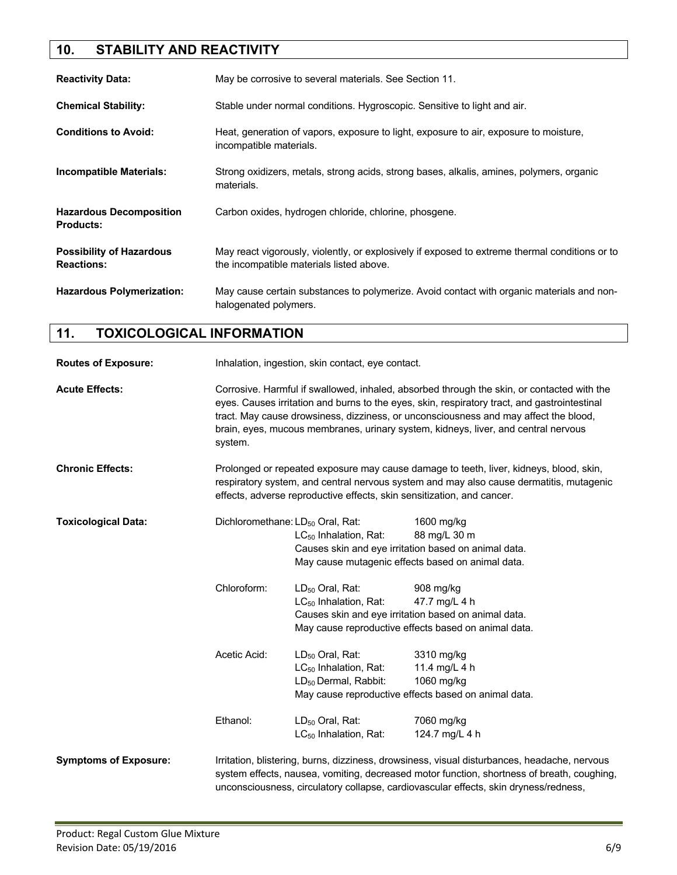## **10. STABILITY AND REACTIVITY**

| <b>Reactivity Data:</b>                              | May be corrosive to several materials. See Section 11.                                                                                     |  |  |
|------------------------------------------------------|--------------------------------------------------------------------------------------------------------------------------------------------|--|--|
| <b>Chemical Stability:</b>                           | Stable under normal conditions. Hygroscopic. Sensitive to light and air.                                                                   |  |  |
| <b>Conditions to Avoid:</b>                          | Heat, generation of vapors, exposure to light, exposure to air, exposure to moisture,<br>incompatible materials.                           |  |  |
| <b>Incompatible Materials:</b>                       | Strong oxidizers, metals, strong acids, strong bases, alkalis, amines, polymers, organic<br>materials.                                     |  |  |
| <b>Hazardous Decomposition</b><br><b>Products:</b>   | Carbon oxides, hydrogen chloride, chlorine, phosgene.                                                                                      |  |  |
| <b>Possibility of Hazardous</b><br><b>Reactions:</b> | May react vigorously, violently, or explosively if exposed to extreme thermal conditions or to<br>the incompatible materials listed above. |  |  |
| <b>Hazardous Polymerization:</b>                     | May cause certain substances to polymerize. Avoid contact with organic materials and non-<br>halogenated polymers.                         |  |  |

## **11. TOXICOLOGICAL INFORMATION**

| <b>Routes of Exposure:</b>   | Inhalation, ingestion, skin contact, eye contact.                                                                                                                                                                                                                                                                                                                                   |                                                      |                                                                                                                                                                                                                                                                                    |  |
|------------------------------|-------------------------------------------------------------------------------------------------------------------------------------------------------------------------------------------------------------------------------------------------------------------------------------------------------------------------------------------------------------------------------------|------------------------------------------------------|------------------------------------------------------------------------------------------------------------------------------------------------------------------------------------------------------------------------------------------------------------------------------------|--|
| <b>Acute Effects:</b>        | Corrosive. Harmful if swallowed, inhaled, absorbed through the skin, or contacted with the<br>eyes. Causes irritation and burns to the eyes, skin, respiratory tract, and gastrointestinal<br>tract. May cause drowsiness, dizziness, or unconsciousness and may affect the blood,<br>brain, eyes, mucous membranes, urinary system, kidneys, liver, and central nervous<br>system. |                                                      |                                                                                                                                                                                                                                                                                    |  |
| <b>Chronic Effects:</b>      | Prolonged or repeated exposure may cause damage to teeth, liver, kidneys, blood, skin,<br>respiratory system, and central nervous system and may also cause dermatitis, mutagenic<br>effects, adverse reproductive effects, skin sensitization, and cancer.                                                                                                                         |                                                      |                                                                                                                                                                                                                                                                                    |  |
| <b>Toxicological Data:</b>   | Dichloromethane: LD <sub>50</sub> Oral, Rat:<br>1600 mg/kg                                                                                                                                                                                                                                                                                                                          |                                                      |                                                                                                                                                                                                                                                                                    |  |
|                              |                                                                                                                                                                                                                                                                                                                                                                                     | $LC_{50}$ Inhalation, Rat:                           | 88 mg/L 30 m                                                                                                                                                                                                                                                                       |  |
|                              |                                                                                                                                                                                                                                                                                                                                                                                     | Causes skin and eye irritation based on animal data. |                                                                                                                                                                                                                                                                                    |  |
|                              |                                                                                                                                                                                                                                                                                                                                                                                     | May cause mutagenic effects based on animal data.    |                                                                                                                                                                                                                                                                                    |  |
|                              | Chloroform:                                                                                                                                                                                                                                                                                                                                                                         | LD <sub>50</sub> Oral, Rat:                          | 908 mg/kg                                                                                                                                                                                                                                                                          |  |
|                              |                                                                                                                                                                                                                                                                                                                                                                                     | $LC_{50}$ Inhalation, Rat:                           | 47.7 mg/L 4 h                                                                                                                                                                                                                                                                      |  |
|                              |                                                                                                                                                                                                                                                                                                                                                                                     | Causes skin and eye irritation based on animal data. |                                                                                                                                                                                                                                                                                    |  |
|                              |                                                                                                                                                                                                                                                                                                                                                                                     |                                                      | May cause reproductive effects based on animal data.                                                                                                                                                                                                                               |  |
|                              | Acetic Acid:                                                                                                                                                                                                                                                                                                                                                                        | LD <sub>50</sub> Oral, Rat:                          | 3310 mg/kg                                                                                                                                                                                                                                                                         |  |
|                              |                                                                                                                                                                                                                                                                                                                                                                                     | LC <sub>50</sub> Inhalation, Rat:                    | 11.4 mg/L 4 h                                                                                                                                                                                                                                                                      |  |
|                              |                                                                                                                                                                                                                                                                                                                                                                                     | LD <sub>50</sub> Dermal, Rabbit:                     | 1060 mg/kg                                                                                                                                                                                                                                                                         |  |
|                              |                                                                                                                                                                                                                                                                                                                                                                                     | May cause reproductive effects based on animal data. |                                                                                                                                                                                                                                                                                    |  |
|                              | Ethanol:                                                                                                                                                                                                                                                                                                                                                                            | LD <sub>50</sub> Oral, Rat:                          | 7060 mg/kg                                                                                                                                                                                                                                                                         |  |
|                              |                                                                                                                                                                                                                                                                                                                                                                                     | $LC_{50}$ Inhalation, Rat:                           | 124.7 mg/L 4 h                                                                                                                                                                                                                                                                     |  |
| <b>Symptoms of Exposure:</b> |                                                                                                                                                                                                                                                                                                                                                                                     |                                                      | Irritation, blistering, burns, dizziness, drowsiness, visual disturbances, headache, nervous<br>system effects, nausea, vomiting, decreased motor function, shortness of breath, coughing,<br>unconsciousness, circulatory collapse, cardiovascular effects, skin dryness/redness, |  |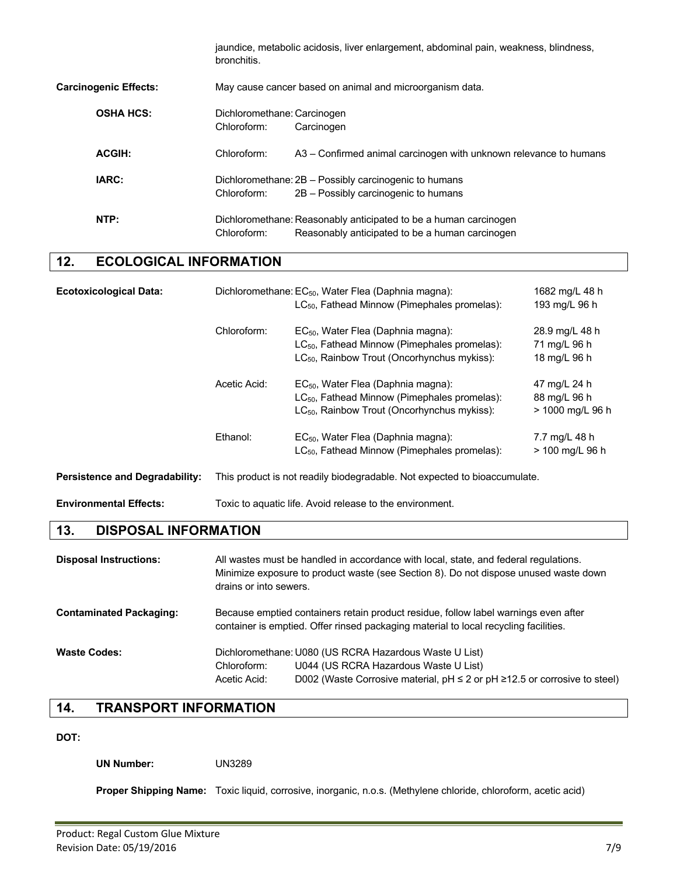jaundice, metabolic acidosis, liver enlargement, abdominal pain, weakness, blindness, bronchitis. **Carcinogenic Effects:** May cause cancer based on animal and microorganism data. **OSHA HCS:** Dichloromethane: Carcinogen Chloroform: Carcinogen **ACGIH:** Chloroform: A3 – Confirmed animal carcinogen with unknown relevance to humans **IARC:** Dichloromethane: 2B – Possibly carcinogenic to humans Chloroform: 2B – Possibly carcinogenic to humans **NTP:** Dichloromethane: Reasonably anticipated to be a human carcinogen Chloroform: Reasonably anticipated to be a human carcinogen

## **12. ECOLOGICAL INFORMATION**

| <b>Ecotoxicological Data:</b>         |              | Dichloromethane: EC <sub>50</sub> , Water Flea (Daphnia magna):<br>$LC_{50}$ , Fathead Minnow (Pimephales promelas):                                                  | 1682 mg/L 48 h<br>193 mg/L 96 h                  |
|---------------------------------------|--------------|-----------------------------------------------------------------------------------------------------------------------------------------------------------------------|--------------------------------------------------|
|                                       | Chloroform:  | EC <sub>50</sub> , Water Flea (Daphnia magna):<br>LC <sub>50</sub> , Fathead Minnow (Pimephales promelas):<br>LC <sub>50</sub> , Rainbow Trout (Oncorhynchus mykiss): | 28.9 mg/L 48 h<br>71 mg/L 96 h<br>18 mg/L 96 h   |
|                                       | Acetic Acid: | EC <sub>50</sub> , Water Flea (Daphnia magna):<br>LC <sub>50</sub> , Fathead Minnow (Pimephales promelas):<br>LC <sub>50</sub> , Rainbow Trout (Oncorhynchus mykiss): | 47 mg/L 24 h<br>88 mg/L 96 h<br>> 1000 mg/L 96 h |
|                                       | Ethanol:     | EC <sub>50</sub> , Water Flea (Daphnia magna):<br>$LC_{50}$ , Fathead Minnow (Pimephales promelas):                                                                   | 7.7 mg/L 48 h<br>> 100 mg/L 96 h                 |
| <b>Persistence and Degradability:</b> |              | This product is not readily biodegradable. Not expected to bioaccumulate.                                                                                             |                                                  |
| <b>Environmental Effects:</b>         |              | Toxic to aquatic life. Avoid release to the environment.                                                                                                              |                                                  |

## **13. DISPOSAL INFORMATION**

| <b>Disposal Instructions:</b>  | drains or into sewers.      | All wastes must be handled in accordance with local, state, and federal regulations.<br>Minimize exposure to product waste (see Section 8). Do not dispose unused waste down          |
|--------------------------------|-----------------------------|---------------------------------------------------------------------------------------------------------------------------------------------------------------------------------------|
| <b>Contaminated Packaging:</b> |                             | Because emptied containers retain product residue, follow label warnings even after<br>container is emptied. Offer rinsed packaging material to local recycling facilities.           |
| <b>Waste Codes:</b>            | Chloroform:<br>Acetic Acid: | Dichloromethane: U080 (US RCRA Hazardous Waste U List)<br>U044 (US RCRA Hazardous Waste U List)<br>D002 (Waste Corrosive material, $pH \le 2$ or $pH \ge 12.5$ or corrosive to steel) |

## **14. TRANSPORT INFORMATION**

## **DOT:**

**UN Number:** UN3289

**Proper Shipping Name:** Toxic liquid, corrosive, inorganic, n.o.s. (Methylene chloride, chloroform, acetic acid)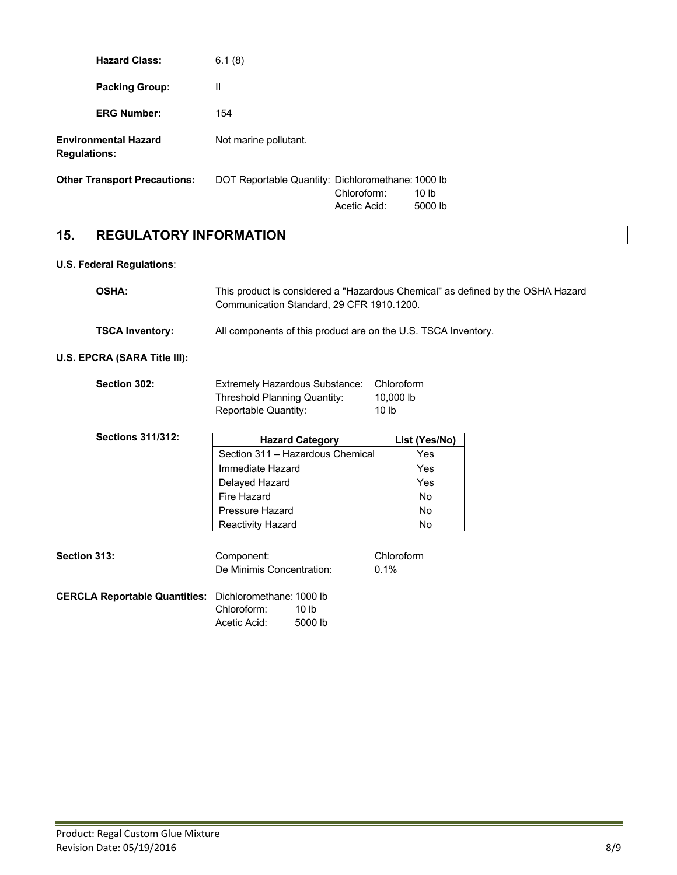| <b>Hazard Class:</b>                               | 6.1(8)                                            |                             |                  |
|----------------------------------------------------|---------------------------------------------------|-----------------------------|------------------|
| <b>Packing Group:</b>                              | Ш                                                 |                             |                  |
| <b>ERG Number:</b>                                 | 154                                               |                             |                  |
| <b>Environmental Hazard</b><br><b>Regulations:</b> | Not marine pollutant.                             |                             |                  |
| <b>Other Transport Precautions:</b>                | DOT Reportable Quantity: Dichloromethane: 1000 lb | Chloroform:<br>Acetic Acid: | 10 lb<br>5000 lb |

## **15. REGULATORY INFORMATION**

## **U.S. Federal Regulations**:

| <b>OSHA:</b>                                           | This product is considered a "Hazardous Chemical" as defined by the OSHA Hazard<br>Communication Standard, 29 CFR 1910.1200. |                                             |  |
|--------------------------------------------------------|------------------------------------------------------------------------------------------------------------------------------|---------------------------------------------|--|
| <b>TSCA Inventory:</b>                                 | All components of this product are on the U.S. TSCA Inventory.                                                               |                                             |  |
| U.S. EPCRA (SARA Title III):                           |                                                                                                                              |                                             |  |
| Section 302:                                           | Extremely Hazardous Substance:<br><b>Threshold Planning Quantity:</b><br>Reportable Quantity:                                | Chloroform<br>10,000 lb<br>10 <sub>lb</sub> |  |
| <b>Sections 311/312:</b>                               | <b>Hazard Category</b>                                                                                                       | List (Yes/No)                               |  |
|                                                        | Section 311 - Hazardous Chemical                                                                                             | Yes                                         |  |
|                                                        | Immediate Hazard                                                                                                             | Yes                                         |  |
|                                                        | Delayed Hazard                                                                                                               | Yes                                         |  |
|                                                        | Fire Hazard                                                                                                                  | <b>No</b>                                   |  |
|                                                        | Pressure Hazard                                                                                                              | <b>No</b>                                   |  |
|                                                        | Reactivity Hazard                                                                                                            | <b>No</b>                                   |  |
|                                                        |                                                                                                                              |                                             |  |
| <b>Section 313:</b>                                    | Component:                                                                                                                   | Chloroform                                  |  |
|                                                        | De Minimis Concentration:                                                                                                    | 0.1%                                        |  |
| CERCLA Reportable Quantities: Dichloromethane: 1000 lb | Chloroform:<br>10 <sub>lb</sub><br>Acetic Acid:<br>5000 lb                                                                   |                                             |  |